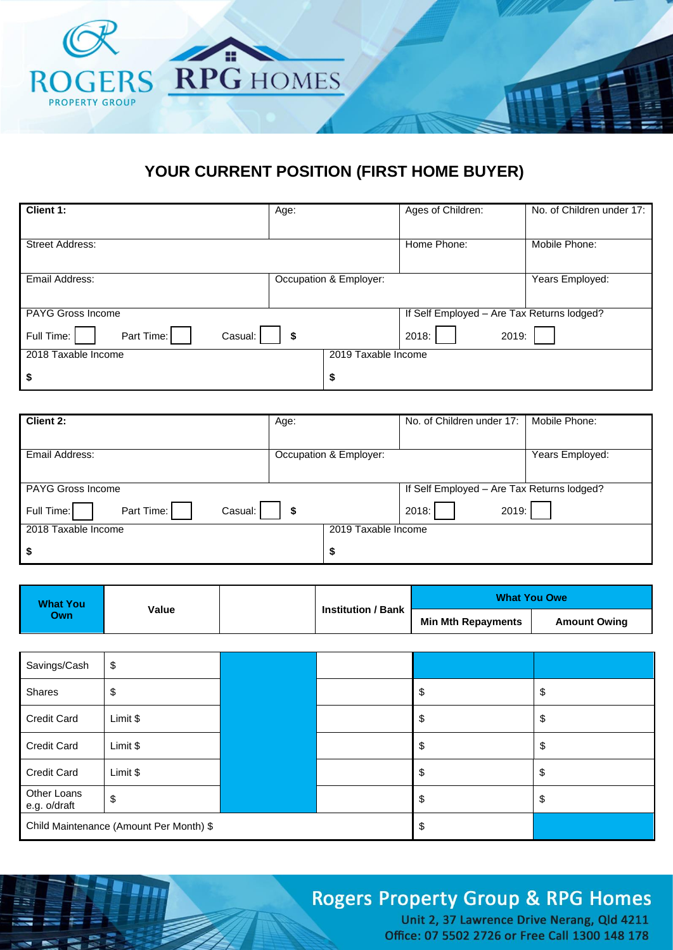

### **YOUR CURRENT POSITION (FIRST HOME BUYER)**

| Client 1:                           | Age:                   |                     | Ages of Children:                          | No. of Children under 17: |
|-------------------------------------|------------------------|---------------------|--------------------------------------------|---------------------------|
| <b>Street Address:</b>              |                        |                     | Home Phone:                                | Mobile Phone:             |
| Email Address:                      | Occupation & Employer: |                     |                                            | Years Employed:           |
| PAYG Gross Income                   |                        |                     | If Self Employed - Are Tax Returns lodged? |                           |
| Part Time:<br>Full Time:<br>Casual: | \$                     |                     | 2019:<br>2018:                             |                           |
| 2018 Taxable Income                 |                        | 2019 Taxable Income |                                            |                           |
| \$                                  | \$                     |                     |                                            |                           |

| <b>Client 2:</b>                    | Age:                   | No. of Children under 17:                  | Mobile Phone:   |
|-------------------------------------|------------------------|--------------------------------------------|-----------------|
|                                     |                        |                                            |                 |
| Email Address:                      | Occupation & Employer: |                                            | Years Employed: |
|                                     |                        |                                            |                 |
| <b>PAYG Gross Income</b>            |                        | If Self Employed - Are Tax Returns lodged? |                 |
| Part Time:<br>Full Time:<br>Casual: | \$                     | 2019:<br>2018:                             |                 |
| 2018 Taxable Income                 | 2019 Taxable Income    |                                            |                 |
| \$                                  | \$                     |                                            |                 |

| <b>What You</b><br>Value<br><b>Own</b> |                           |                    | <b>What You Owe</b> |  |
|----------------------------------------|---------------------------|--------------------|---------------------|--|
|                                        | <b>Institution / Bank</b> | Min Mth Repayments | <b>Amount Owing</b> |  |

| Savings/Cash                            | \$       |  |    |          |
|-----------------------------------------|----------|--|----|----------|
| Shares                                  | c<br>Φ   |  |    | \$<br>จ  |
| <b>Credit Card</b>                      | Limit \$ |  |    | \$       |
| <b>Credit Card</b>                      | Limit \$ |  |    | \$<br>D  |
| <b>Credit Card</b>                      | Limit \$ |  |    | \$<br>\$ |
| Other Loans<br>e.g. o/draft             | \$       |  |    | \$<br>S  |
| Child Maintenance (Amount Per Month) \$ |          |  | \$ |          |

**TER** 

# **Rogers Property Group & RPG Homes**

Unit 2, 37 Lawrence Drive Nerang, Qld 4211 Office: 07 5502 2726 or Free Call 1300 148 178